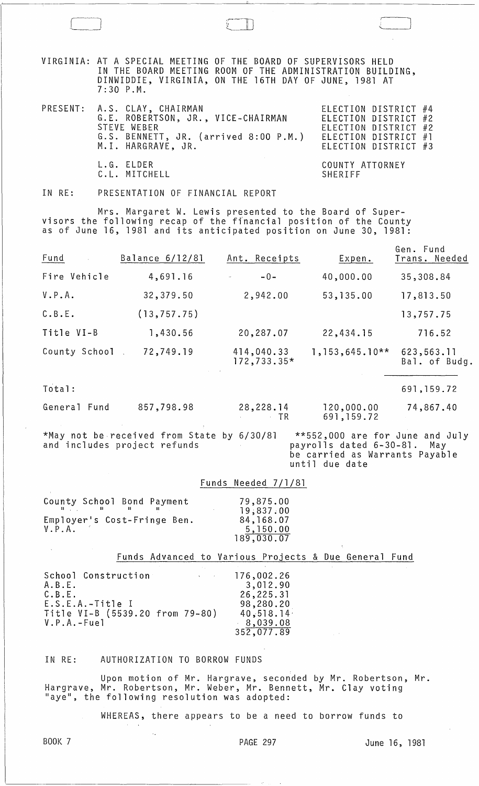VIRGINIA: AT A SPECIAL MEETING OF THE BOARD OF SUPERVISORS HELD IN THE BOARD MEETING ROOM OF THE ADMINISTRATION BUILDING, DINWIDDIE, VIRGINIA, ON THE 16TH DAY OF JUNE, 1981 AT 7:30 P.M.

| PRESENT: A.S. CLAY, CHAIRMAN<br>G.E. ROBERTSON, JR., VICE-CHAIRMAN<br>STEVE WEBER<br>G.S. BENNETT, JR. (arrived 8:00 P.M.)<br>M.I. HARGRAVE, JR. | ELECTION DISTRICT #4<br>ELECTION DISTRICT #2<br>ELECTION DISTRICT #2<br>ELECTION DISTRICT #1<br>ELECTION DISTRICT #3 |
|--------------------------------------------------------------------------------------------------------------------------------------------------|----------------------------------------------------------------------------------------------------------------------|
| L.G. ELDER<br>C.L. MITCHELL                                                                                                                      | COUNTY ATTORNEY<br>SHERIFF                                                                                           |

IN RE: PRESENTATION OF FINANCIAL REPORT

Mrs. Margaret W. Lewis presented to the Board of Supervisors the following recap of the financial position of the County as of June 16, 1981 and its anticipated position on June 30, 1981:

| Fund          | Balance 6/12/81 | Ant. Receipts               | Expen.           | Gen. Fund<br>Trans. Needed  |
|---------------|-----------------|-----------------------------|------------------|-----------------------------|
| Fire Vehicle  | 4,691.16        | $-0-$<br>$\omega$           | 40,000.00        | 35,308.84                   |
| V.P.A.        | 32,379.50       | 2,942.00                    | 53, 135.00       | 17,813.50                   |
| C.B.E.        | (13, 757.75)    |                             |                  | 13,757.75                   |
| Title VI-B    | 1,430.56        | 20,287.07                   | 22,434.15        | 716.52                      |
| County School | 72,749.19       | 414,040.33<br>$172,733.35*$ | $1,153,645.10**$ | 623,563.11<br>Bal. of Budg. |

Total: 691,159.72

General Fund 857,798.98 28,228.14 120,000.00 74,867.40 TR 691,159.72

\*May not be received from State by 6/30/81 and includes project refunds \*\*552,000 are for June and July payroll s dated 6-30-81. May be carried as Warrants Payable until due date

## Funds Needed 7/1/81

| County School Bond Payment                                                                                                               | 79,875.00  |
|------------------------------------------------------------------------------------------------------------------------------------------|------------|
| $\mathbf{H}$ and $\mathbf{H}$ and $\mathbf{H}$ and $\mathbf{H}$ are assumed to $\mathbf{H}$ and $\mathbf{H}$ are assumed to $\mathbf{H}$ | 19,837.00  |
| Employer's Cost-Fringe Ben.                                                                                                              | 84, 168.07 |
| V.P.A.                                                                                                                                   | 5,150.00   |
|                                                                                                                                          | 189,030.07 |

## Funds Advanced to Various Projects & Due General Fund

| School Construction                                   | <b>All Contracts</b> | 176,002.26             |
|-------------------------------------------------------|----------------------|------------------------|
| A.B.E.<br>C.B.E.                                      |                      | 3,012.90<br>26,225.31  |
| $E.S.E.A.-Title I$<br>Title VI-B (5539.20 from 79-80) |                      | 98,280.20<br>40,518.14 |
| $V.P.A.-Fuel$                                         |                      | 8,039.08               |
|                                                       |                      | 352,077.89             |

## IN RE: AUTHORIZATION TO BORROW FUNDS

 $\ddotsc$ 

Upon motion of Mr. Hargrave, seconded by Mr. Robertson, Mr. Hargrave, Mr. Robertson, Mr. Weber, Mr. Bennett, Mr. Clay voting "aye", the following resolution was adopted:

WHEREAS, there appears to be a need to borrow funds to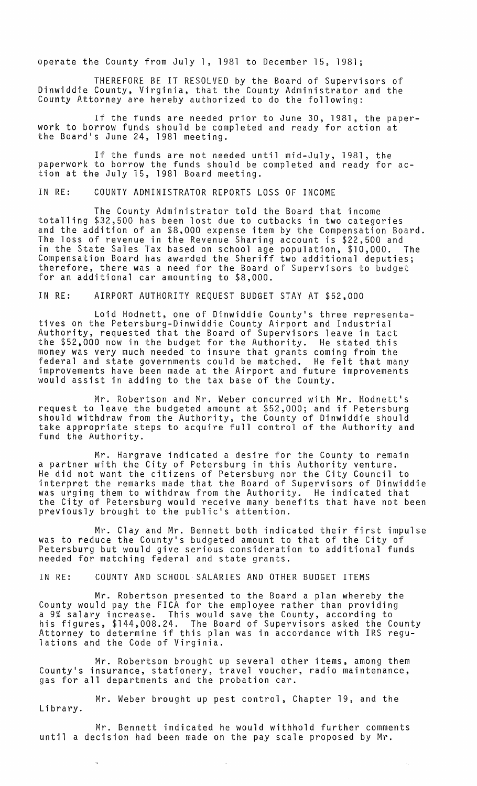operate the County from July 1, 1981 to December 15, 1981;

THEREFORE BE IT RESOLVED by the Board of Supervisors of Dinwiddie County, Virginia, that the County Administrator and the County Attorney are hereby authorized to do the following:

If the funds are needed prior to June 30, 1981, the paperwork to borrow funds should be completed and ready for action at the Board's June 24, 1981 meeting.

If the funds are not needed until mid-July, 1981, the paperwork to borrow the funds should be completed and ready for action at the July 15, 1981 Board meeting.

IN RE: COUNTY ADMINISTRATOR REPORTS LOSS OF INCOME

The County Administrator told the Board that income totalling \$32,500 has been lost due to cutbacks in two categories and the addition of an \$8,000 expense item by the Compensation Board. The loss of revenue in the Revenue Sharing account is \$22,500 and in the State Sales Tax based on school age population, \$10,000. The Compensation Board has awarded the Sheriff two additional deputies; therefore, there was a need for the Board of Supervisors to budget for an additional car amounting to \$8,000.

IN RE: AIRPORT AUTHORITY REQUEST BUDGET STAY AT \$52,000

Loid Hodnett, one of Dinwiddie County's three representatives on the Petersburg-Dinwiddie County Airport and Industrial Authority, requested that the Board of Supervisors leave in tact the \$52,000 now in the budget for the Authority. He stated this money was very much needed to insure that grants coming from the federal and state governments could be matched. He felt that many improvements have been made at the Airport and future improvements would assist in adding to the tax base of the County.

Mr. Robertson and Mr. Weber concurred with Mr. Hodnett's request to leave the budgeted amount at \$52,000; and if Petersburg should withdraw from the Authority, the County of Dinwiddie should take appropriate steps to acquire full control of the Authority and fund the Authority.

Mr. Hargrave indicated a desire for the County to remain a partner with the City of Petersburg in this Authority venture. He did not want the citizens of Petersburg nor the City Council to interpret the remarks made that the Board of Supervisors of Dinwiddie was urging them to withdraw from the Authority. He indicated that the City of Petersburg would receive many benefits that have not been previously brought to the public's attention.

Mr. Clay and Mr. Bennett both indicated their first impulse was to reduce the County's budgeted amount to that of the City of Petersburg but would give serious consideration to additional funds needed for matching federal and state grants.

IN RE: COUNTY AND SCHOOL SALARIES AND OTHER BUDGET ITEMS

Mr. Robertson presented to the Board a plan whereby the County would pay the FICA for the employee rather than providing a 9% salary increase. This would save the County, according to his figures, \$144,008.24. The Board of Supervisors asked the County Attorney to determine if this plan was in accordance with IRS regulations and the Code of Virginia.

Mr. Robertson brought up several other items, among them County's insurance, stationery, travel voucher, radio maintenance, gas for all departments and the probation car.

Mr. Weber brought up pest control, Chapter 19, and the Library.

Mr. Bennett indicated he would withhold further comments until a decision had been made on the pay scale proposed by Mr.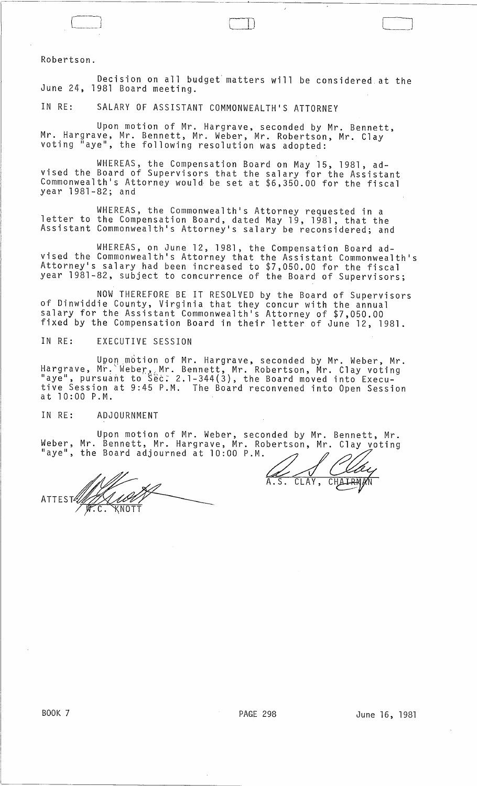Robertson.

Decision on all budget' matters will be considered. at the June 24, 1981 Board meeting.

------~~~~~~~~~~~~~-----------~~------~~------~----~----------------

 $\Box$ 

IN RE: SALARY OF ASSISTANT COMMONWEALTH'S ATTORNEY

Upon motion of Mr. Hargrave, seconded by Mr. Bennett, Mr. Hargrave, Mr. Bennett, Mr. Weber, Mr. Robertson, Mr. Clay<br>voting "aye", the following resolution was adopted:

WHEREAS, the Compensation Board on May 15, 1981, advised the Board of Supervisors that the salary for the Assistant Commonwealth's Attorney would· be set at \$6,350.00 for the fiscal year 1981-82; and

WHEREAS, the Commonwealth's Attorney requested in a letter to the Compensation Board, dated May 19, 1981, that the Assistant Commonwealth's Attorney's salary be reconsidered; and

WHEREAS, on June 12, 1981, the Compensation Board advised the Commonwealth's Attorney that the Assistant Commonwealth's Attorney's salary had been increased to \$7,050.00 for the fiscal year 1981-82, subject to concurrence of the Board of Supervisors;

NOW THEREFORE BE IT RESOLVED by the Board of Supervisors of Dinwiddie County, Virginia that they concur with the annual salary for the Assistant Commonwealth's Attorney of \$7,050.00 fixed by the Compensation Board in their letter of June 12, 1981.

IN RE: EXECUTIVE SESSION

Upon motion of Mr. Hargrave, seconded by Mr. Weber, Mr. Hargrave, Mr. Weber, Mr. Bennett, Mr. Robertson, Mr. Clay voting<br>"aye", pursuant to Sec: 2.1-344(3), the Board moved into Executive Session at 9:45 P.M. The Board reconvened into Open Session at 10:00 P.M.

IN RE: ADJOURNMENT

Weber, Mr. Bennett, Mr. Hargrave, Mr. Robertson, Mr. Clay voting "aye", the Board adjourned at 10:00 P.M. Upon motion of Mr. Weber, seconded by Mr. Bennett, Mr. Upon motion of Mr. Weber, seconded by Mr. Bennett, Mr.<br>Mr. Bennett, Mr. Hargrave, Mr. Robertson, Mr. Clay voting<br>the Board adjourned at 10:00 P.M.

ATTEST4 KNOT

A.S. CLAY, CHAIRMAN